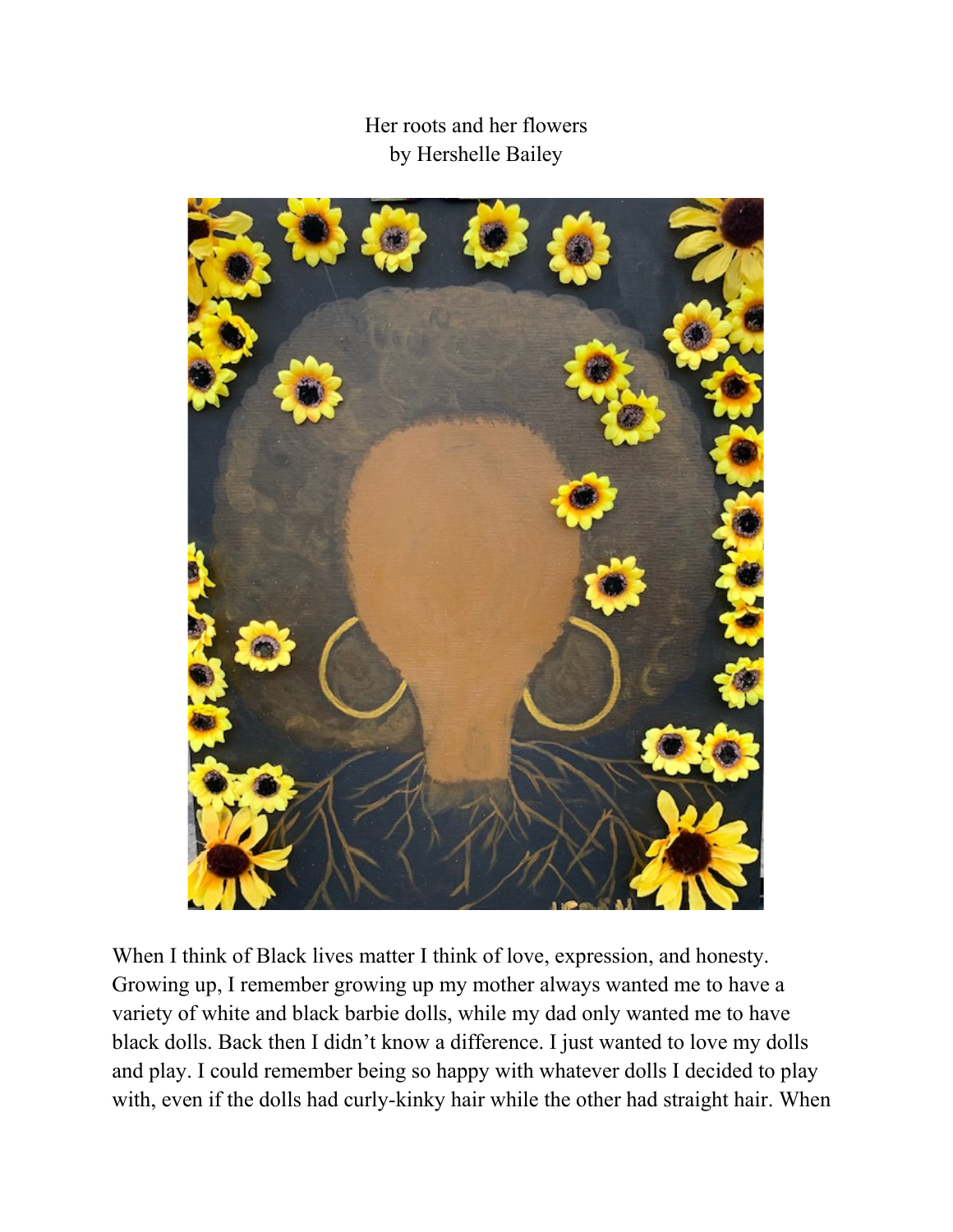## Her roots and her flowers by Hershelle Bailey



When I think of Black lives matter I think of love, expression, and honesty. Growing up, I remember growing up my mother always wanted me to have a variety of white and black barbie dolls, while my dad only wanted me to have black dolls. Back then I didn't know a difference. I just wanted to love my dolls and play. I could remember being so happy with whatever dolls I decided to play with, even if the dolls had curly-kinky hair while the other had straight hair. When